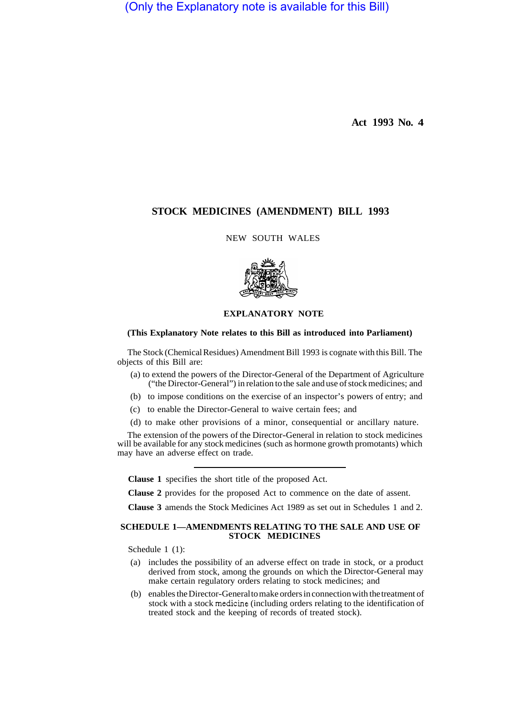(Only the Explanatory note is available for this Bill)

**Act 1993 No. 4** 

# **STOCK MEDICINES (AMENDMENT) BILL 1993**

NEW SOUTH WALES



## **EXPLANATORY NOTE**

### **(This Explanatory Note relates to this Bill as introduced into Parliament)**

The Stock (Chemical Residues) Amendment Bill 1993 is cognate with this Bill. The objects of this Bill are:

- (a) to extend the powers of the Director-General of the Department of Agriculture ("the Director-General") in relation to the sale and use of stock medicines; and
- (b) to impose conditions on the exercise of an inspector's powers of entry; and
- (c) to enable the Director-General to waive certain fees; and
- (d) to make other provisions of a minor, consequential or ancillary nature.

The extension of the powers of the Director-General in relation to stock medicines will be available for any stock medicines (such as hormone growth promotants) which may have an adverse effect on trade.

**Clause 1** specifies the short title of the proposed Act.

**Clause 2** provides for the proposed Act to commence on the date of assent.

**Clause 3** amends the Stock Medicines Act 1989 as set out in Schedules 1 and 2.

### **SCHEDULE 1—AMENDMENTS RELATING TO THE SALE AND USE OF STOCK MEDICINES**

Schedule 1 (1):

- (a) includes the possibility of an adverse effect on trade in stock, or a product derived from stock, among the grounds on which the Director-General may make certain regulatory orders relating to stock medicines; and
- (b) enables the Director-General to make orders in connection with the treatment of stock with a stock medicine (including orders relating to the identification of treated stock and the keeping of records of treated stock).